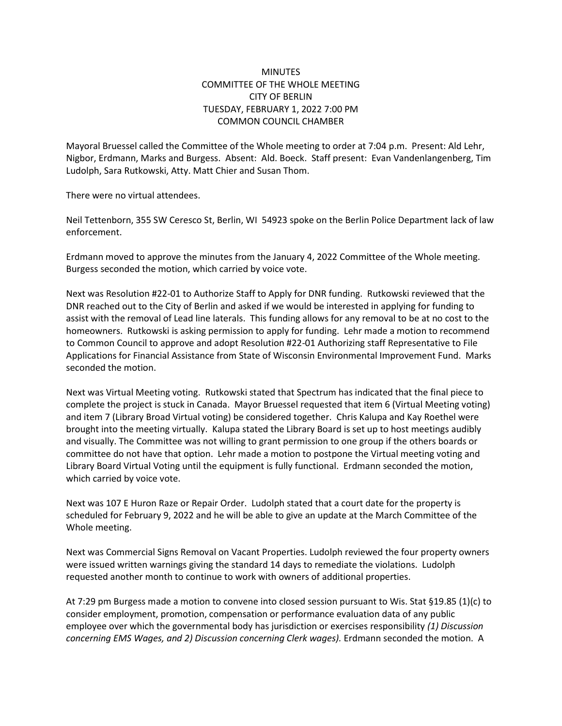## **MINUTES** COMMITTEE OF THE WHOLE MEETING CITY OF BERLIN TUESDAY, FEBRUARY 1, 2022 7:00 PM COMMON COUNCIL CHAMBER

Mayoral Bruessel called the Committee of the Whole meeting to order at 7:04 p.m. Present: Ald Lehr, Nigbor, Erdmann, Marks and Burgess. Absent: Ald. Boeck. Staff present: Evan Vandenlangenberg, Tim Ludolph, Sara Rutkowski, Atty. Matt Chier and Susan Thom.

There were no virtual attendees.

Neil Tettenborn, 355 SW Ceresco St, Berlin, WI 54923 spoke on the Berlin Police Department lack of law enforcement.

Erdmann moved to approve the minutes from the January 4, 2022 Committee of the Whole meeting. Burgess seconded the motion, which carried by voice vote.

Next was Resolution #22-01 to Authorize Staff to Apply for DNR funding. Rutkowski reviewed that the DNR reached out to the City of Berlin and asked if we would be interested in applying for funding to assist with the removal of Lead line laterals. This funding allows for any removal to be at no cost to the homeowners. Rutkowski is asking permission to apply for funding. Lehr made a motion to recommend to Common Council to approve and adopt Resolution #22-01 Authorizing staff Representative to File Applications for Financial Assistance from State of Wisconsin Environmental Improvement Fund. Marks seconded the motion.

Next was Virtual Meeting voting. Rutkowski stated that Spectrum has indicated that the final piece to complete the project is stuck in Canada. Mayor Bruessel requested that item 6 (Virtual Meeting voting) and item 7 (Library Broad Virtual voting) be considered together. Chris Kalupa and Kay Roethel were brought into the meeting virtually. Kalupa stated the Library Board is set up to host meetings audibly and visually. The Committee was not willing to grant permission to one group if the others boards or committee do not have that option. Lehr made a motion to postpone the Virtual meeting voting and Library Board Virtual Voting until the equipment is fully functional. Erdmann seconded the motion, which carried by voice vote.

Next was 107 E Huron Raze or Repair Order. Ludolph stated that a court date for the property is scheduled for February 9, 2022 and he will be able to give an update at the March Committee of the Whole meeting.

Next was Commercial Signs Removal on Vacant Properties. Ludolph reviewed the four property owners were issued written warnings giving the standard 14 days to remediate the violations. Ludolph requested another month to continue to work with owners of additional properties.

At 7:29 pm Burgess made a motion to convene into closed session pursuant to Wis. Stat §19.85 (1)(c) to consider employment, promotion, compensation or performance evaluation data of any public employee over which the governmental body has jurisdiction or exercises responsibility *(1) Discussion concerning EMS Wages, and 2) Discussion concerning Clerk wages).* Erdmann seconded the motion. A